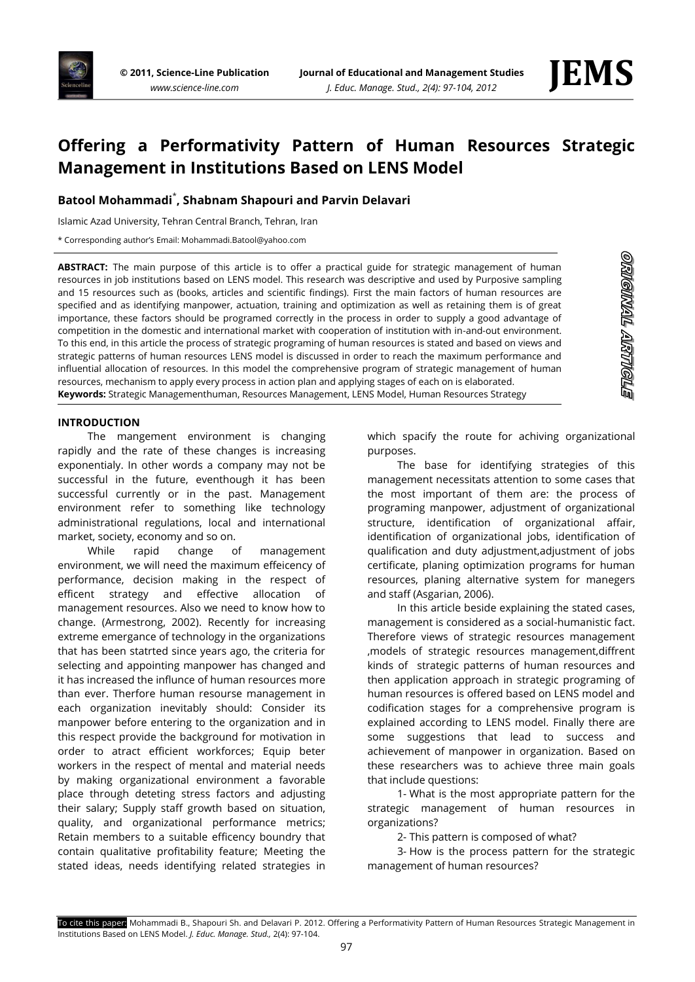

<u>ornennall aktivella</u>

# **Offering a Performativity Pattern of Human Resources Strategic Management in Institutions Based on LENS Model**

# **Batool Mohammadi**\* **, Shabnam Shapouri and Parvin Delavari**

Islamic Azad University, Tehran Central Branch, Tehran, Iran

\* Corresponding author's Email: Mohammadi.Batool@yahoo.com

**ABSTRACT:** The main purpose of this article is to offer a practical guide for strategic management of human resources in job institutions based on LENS model. This research was descriptive and used by Purposive sampling and 15 resources such as (books, articles and scientific findings). First the main factors of human resources are specified and as identifying manpower, actuation, training and optimization as well as retaining them is of great importance, these factors should be programed correctly in the process in order to supply a good advantage of competition in the domestic and international market with cooperation of institution with in-and-out environment. To this end, in this article the process of strategic programing of human resources is stated and based on views and strategic patterns of human resources LENS model is discussed in order to reach the maximum performance and influential allocation of resources. In this model the comprehensive program of strategic management of human resources, mechanism to apply every process in action plan and applying stages of each on is elaborated. **Keywords:** Strategic Managementhuman, Resources Management, LENS Model, Human Resources Strategy

#### **INTRODUCTION**

The mangement environment is changing rapidly and the rate of these changes is increasing exponentialy. In other words a company may not be successful in the future, eventhough it has been successful currently or in the past. Management environment refer to something like technology administrational regulations, local and international market, society, economy and so on.

While rapid change of management environment, we will need the maximum effeicency of performance, decision making in the respect of efficent strategy and effective allocation of management resources. Also we need to know how to change. (Armestrong, 2002). Recently for increasing extreme emergance of technology in the organizations that has been statrted since years ago, the criteria for selecting and appointing manpower has changed and it has increased the influnce of human resources more than ever. Therfore human resourse management in each organization inevitably should: Consider its manpower before entering to the organization and in this respect provide the background for motivation in order to atract efficient workforces; Equip beter workers in the respect of mental and material needs by making organizational environment a favorable place through deteting stress factors and adjusting their salary; Supply staff growth based on situation, quality, and organizational performance metrics; Retain members to a suitable efficency boundry that contain qualitative profitability feature; Meeting the stated ideas, needs identifying related strategies in

which spacify the route for achiving organizational purposes.

The base for identifying strategies of this management necessitats attention to some cases that the most important of them are: the process of programing manpower, adjustment of organizational structure, identification of organizational affair, identification of organizational jobs, identification of qualification and duty adjustment,adjustment of jobs certificate, planing optimization programs for human resources, planing alternative system for manegers and staff (Asgarian, 2006).

In this article beside explaining the stated cases, management is considered as a social-humanistic fact. Therefore views of strategic resources management ,models of strategic resources management,diffrent kinds of strategic patterns of human resources and then application approach in strategic programing of human resources is offered based on LENS model and codification stages for a comprehensive program is explained according to LENS model. Finally there are some suggestions that lead to success and achievement of manpower in organization. Based on these researchers was to achieve three main goals that include questions:

1- What is the most appropriate pattern for the strategic management of human resources in organizations?

2- This pattern is composed of what?

3- How is the process pattern for the strategic management of human resources?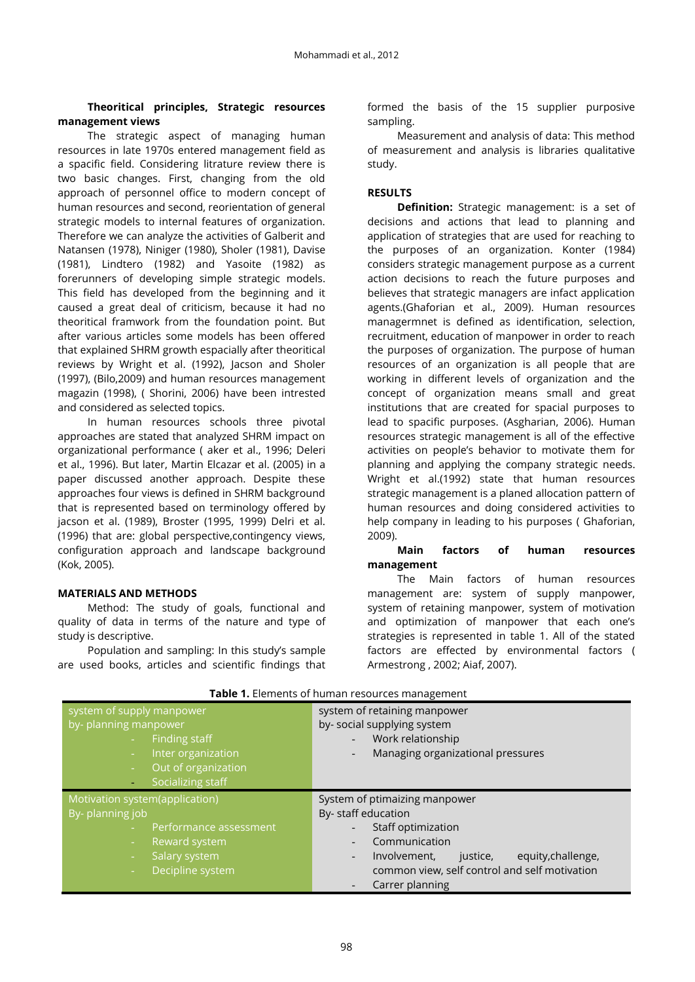# **Theoritical principles, Strategic resources management views**

The strategic aspect of managing human resources in late 1970s entered management field as a spacific field. Considering litrature review there is two basic changes. First, changing from the old approach of personnel office to modern concept of human resources and second, reorientation of general strategic models to internal features of organization. Therefore we can analyze the activities of Galberit and Natansen (1978), Niniger (1980), Sholer (1981), Davise (1981), Lindtero (1982) and Yasoite (1982) as forerunners of developing simple strategic models. This field has developed from the beginning and it caused a great deal of criticism, because it had no theoritical framwork from the foundation point. But after various articles some models has been offered that explained SHRM growth espacially after theoritical reviews by Wright et al. (1992), Jacson and Sholer (1997), (Bilo,2009) and human resources management magazin (1998), ( Shorini, 2006) have been intrested and considered as selected topics.

In human resources schools three pivotal approaches are stated that analyzed SHRM impact on organizational performance ( aker et al., 1996; Deleri et al., 1996). But later, Martin Elcazar et al. (2005) in a paper discussed another approach. Despite these approaches four views is defined in SHRM background that is represented based on terminology offered by jacson et al. (1989), Broster (1995, 1999) Delri et al. (1996) that are: global perspective,contingency views, configuration approach and landscape background (Kok, 2005).

# **MATERIALS AND METHODS**

Method: The study of goals, functional and quality of data in terms of the nature and type of study is descriptive.

Population and sampling: In this study's sample are used books, articles and scientific findings that formed the basis of the 15 supplier purposive sampling.

Measurement and analysis of data: This method of measurement and analysis is libraries qualitative study.

# **RESULTS**

**Definition:** Strategic management: is a set of decisions and actions that lead to planning and application of strategies that are used for reaching to the purposes of an organization. Konter (1984) considers strategic management purpose as a current action decisions to reach the future purposes and believes that strategic managers are infact application agents.(Ghaforian et al., 2009). Human resources managermnet is defined as identification, selection, recruitment, education of manpower in order to reach the purposes of organization. The purpose of human resources of an organization is all people that are working in different levels of organization and the concept of organization means small and great institutions that are created for spacial purposes to lead to spacific purposes. (Asgharian, 2006). Human resources strategic management is all of the effective activities on people's behavior to motivate them for planning and applying the company strategic needs. Wright et al.(1992) state that human resources strategic management is a planed allocation pattern of human resources and doing considered activities to help company in leading to his purposes ( Ghaforian, 2009).

## **Main factors of human resources management**

The Main factors of human resources management are: system of supply manpower, system of retaining manpower, system of motivation and optimization of manpower that each one's strategies is represented in table 1. All of the stated factors are effected by environmental factors ( Armestrong , 2002; Aiaf, 2007).

| system of supply manpower<br>by-planning manpower<br>Finding staff<br>Inter organization<br>$\sim$<br>Out of organization<br>$\sim$<br>Socializing staff | system of retaining manpower<br>by-social supplying system<br>Work relationship<br>Managing organizational pressures<br>$\overline{\phantom{a}}$                                                                                              |
|----------------------------------------------------------------------------------------------------------------------------------------------------------|-----------------------------------------------------------------------------------------------------------------------------------------------------------------------------------------------------------------------------------------------|
| Motivation system(application)<br>By-planning job<br>Performance assessment<br>Reward system<br>÷<br>Salary system<br>Decipline system                   | System of ptimaizing manpower<br>By- staff education<br>Staff optimization<br>Communication<br>equity, challenge,<br>Involvement,<br>justice,<br>$\overline{\phantom{a}}$<br>common view, self control and self motivation<br>Carrer planning |

**Table 1.** Elements of human resources management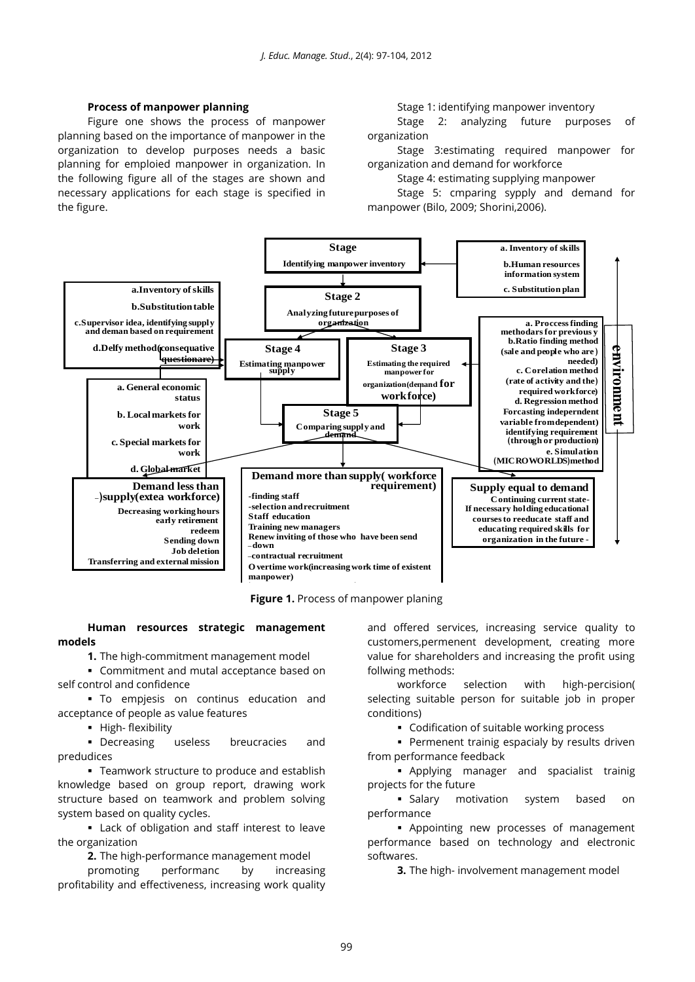#### **Process of manpower planning**

Figure one shows the process of manpower planning based on the importance of manpower in the organization to develop purposes needs a basic planning for emploied manpower in organization. In the following figure all of the stages are shown and necessary applications for each stage is specified in the figure.

Stage 1: identifying manpower inventory

Stage 2: analyzing future purposes of organization

Stage 3:estimating required manpower for organization and demand for workforce

Stage 4: estimating supplying manpower

Stage 5: cmparing sypply and demand for manpower (Bilo, 2009; Shorini,2006).



**Figure 1.** Process of manpower planing

## **Human resources strategic management models**

**1.** The high-commitment management model

 Commitment and mutal acceptance based on self control and confidence

 To empjesis on continus education and acceptance of people as value features

• High- flexibility

 Decreasing useless breucracies and predudices

**-** Teamwork structure to produce and establish knowledge based on group report, drawing work structure based on teamwork and problem solving system based on quality cycles.

 Lack of obligation and staff interest to leave the organization

**2.** The high-performance management model

promoting performanc by increasing profitability and effectiveness, increasing work quality and offered services, increasing service quality to customers,permenent development, creating more value for shareholders and increasing the profit using follwing methods:

workforce selection with high-percision( selecting suitable person for suitable job in proper conditions)

Codification of suitable working process

 Permenent trainig espacialy by results driven from performance feedback

 Applying manager and spacialist trainig projects for the future

 Salary motivation system based on performance

 Appointing new processes of management performance based on technology and electronic softwares.

**3.** The high- involvement management model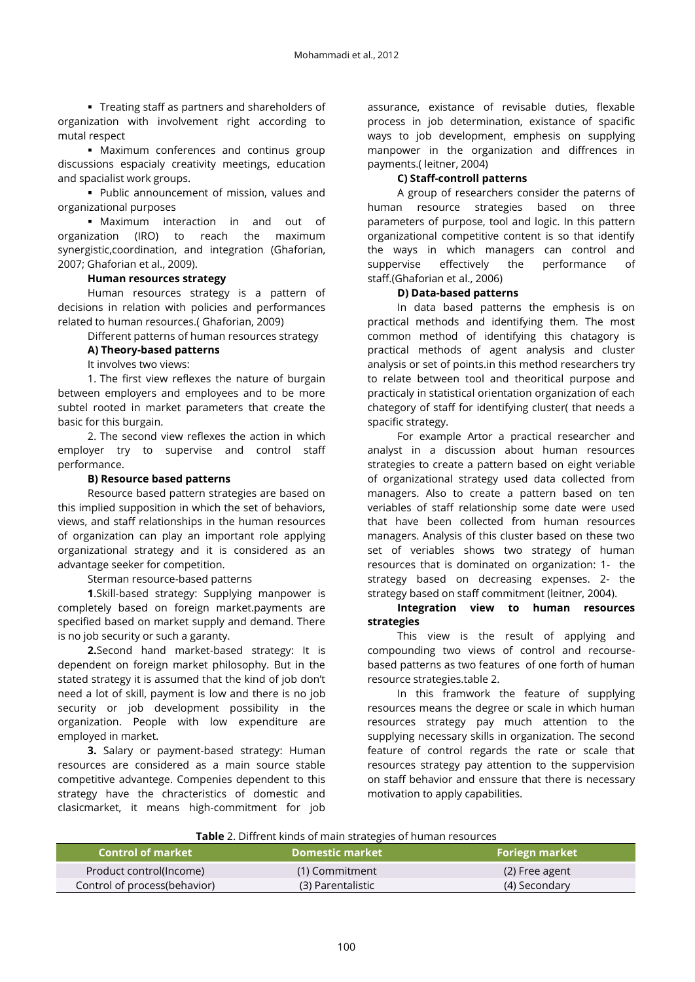Treating staff as partners and shareholders of organization with involvement right according to mutal respect

 Maximum conferences and continus group discussions espacialy creativity meetings, education and spacialist work groups.

 Public announcement of mission, values and organizational purposes

 Maximum interaction in and out of organization (IRO) to reach the maximum synergistic,coordination, and integration (Ghaforian, 2007; Ghaforian et al., 2009).

## **Human resources strategy**

Human resources strategy is a pattern of decisions in relation with policies and performances related to human resources.( Ghaforian, 2009)

Different patterns of human resources strategy

# **A) Theory-based patterns**

It involves two views:

1. The first view reflexes the nature of burgain between employers and employees and to be more subtel rooted in market parameters that create the basic for this burgain.

2. The second view reflexes the action in which employer try to supervise and control staff performance.

# **B) Resource based patterns**

Resource based pattern strategies are based on this implied supposition in which the set of behaviors, views, and staff relationships in the human resources of organization can play an important role applying organizational strategy and it is considered as an advantage seeker for competition.

Sterman resource-based patterns

**1**.Skill-based strategy: Supplying manpower is completely based on foreign market.payments are specified based on market supply and demand. There is no job security or such a garanty.

**2.**Second hand market-based strategy: It is dependent on foreign market philosophy. But in the stated strategy it is assumed that the kind of job don't need a lot of skill, payment is low and there is no job security or job development possibility in the organization. People with low expenditure are employed in market.

**3.** Salary or payment-based strategy: Human resources are considered as a main source stable competitive advantege. Compenies dependent to this strategy have the chracteristics of domestic and clasicmarket, it means high-commitment for job

assurance, existance of revisable duties, flexable process in job determination, existance of spacific ways to job development, emphesis on supplying manpower in the organization and diffrences in payments.( leitner, 2004)

## **C) Staff-controll patterns**

A group of researchers consider the paterns of human resource strategies based on three parameters of purpose, tool and logic. In this pattern organizational competitive content is so that identify the ways in which managers can control and suppervise effectively the performance of staff.(Ghaforian et al., 2006)

## **D) Data-based patterns**

In data based patterns the emphesis is on practical methods and identifying them. The most common method of identifying this chatagory is practical methods of agent analysis and cluster analysis or set of points.in this method researchers try to relate between tool and theoritical purpose and practicaly in statistical orientation organization of each chategory of staff for identifying cluster( that needs a spacific strategy.

For example Artor a practical researcher and analyst in a discussion about human resources strategies to create a pattern based on eight veriable of organizational strategy used data collected from managers. Also to create a pattern based on ten veriables of staff relationship some date were used that have been collected from human resources managers. Analysis of this cluster based on these two set of veriables shows two strategy of human resources that is dominated on organization: 1- the strategy based on decreasing expenses. 2- the strategy based on staff commitment (leitner, 2004).

# **Integration view to human resources strategies**

This view is the result of applying and compounding two views of control and recoursebased patterns as two features of one forth of human resource strategies.table 2.

In this framwork the feature of supplying resources means the degree or scale in which human resources strategy pay much attention to the supplying necessary skills in organization. The second feature of control regards the rate or scale that resources strategy pay attention to the suppervision on staff behavior and enssure that there is necessary motivation to apply capabilities.

| <b>Control of market</b>     | Domestic market   | <b>Foriegn market</b> |
|------------------------------|-------------------|-----------------------|
| Product control(lncome)      | (1) Commitment    | (2) Free agent        |
| Control of process(behavior) | (3) Parentalistic | (4) Secondary         |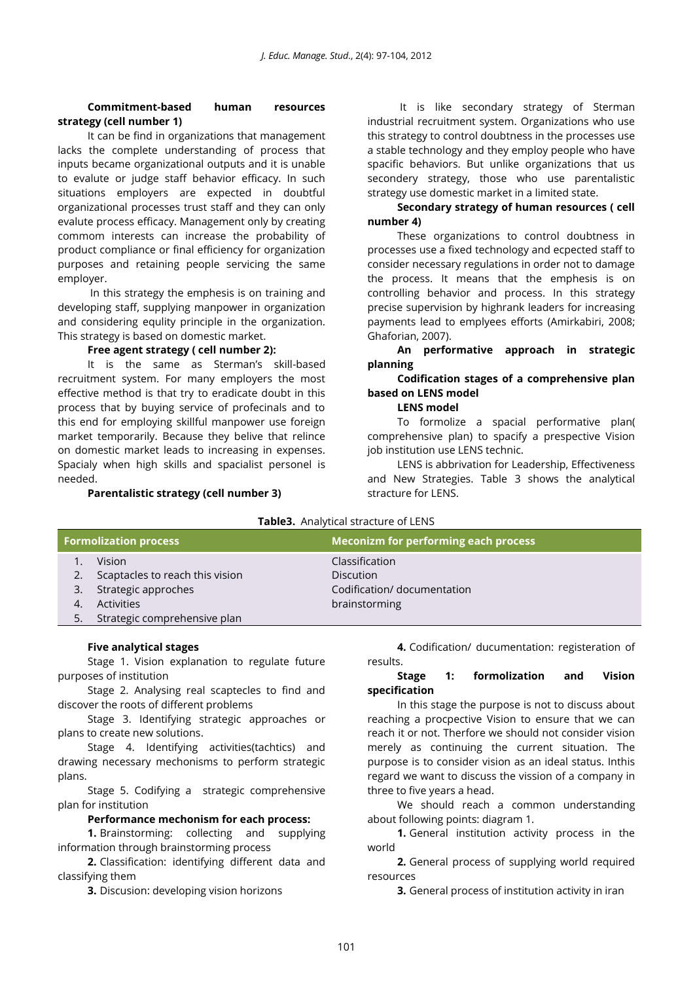# **Commitment-based human resources strategy (cell number 1)**

It can be find in organizations that management lacks the complete understanding of process that inputs became organizational outputs and it is unable to evalute or judge staff behavior efficacy. In such situations employers are expected in doubtful organizational processes trust staff and they can only evalute process efficacy. Management only by creating commom interests can increase the probability of product compliance or final efficiency for organization purposes and retaining people servicing the same employer.

In this strategy the emphesis is on training and developing staff, supplying manpower in organization and considering equlity principle in the organization. This strategy is based on domestic market.

## **Free agent strategy ( cell number 2):**

It is the same as Sterman's skill-based recruitment system. For many employers the most effective method is that try to eradicate doubt in this process that by buying service of profecinals and to this end for employing skillful manpower use foreign market temporarily. Because they belive that relince on domestic market leads to increasing in expenses. Spacialy when high skills and spacialist personel is needed.

**Parentalistic strategy (cell number 3)**

It is like secondary strategy of Sterman industrial recruitment system. Organizations who use this strategy to control doubtness in the processes use a stable technology and they employ people who have spacific behaviors. But unlike organizations that us secondery strategy, those who use parentalistic strategy use domestic market in a limited state.

# **Secondary strategy of human resources ( cell number 4)**

These organizations to control doubtness in processes use a fixed technology and ecpected staff to consider necessary regulations in order not to damage the process. It means that the emphesis is on controlling behavior and process. In this strategy precise supervision by highrank leaders for increasing payments lead to emplyees efforts (Amirkabiri, 2008; Ghaforian, 2007).

**An performative approach in strategic planning**

# **Codification stages of a comprehensive plan based on LENS model**

# **LENS model**

To formolize a spacial performative plan( comprehensive plan) to spacify a prespective Vision job institution use LENS technic.

LENS is abbrivation for Leadership, Effectiveness and New Strategies. Table 3 shows the analytical stracture for LENS.

| <b>Tables.</b> Analytical stracture of LENS |                                 |                                             |  |
|---------------------------------------------|---------------------------------|---------------------------------------------|--|
|                                             | <b>Formolization process</b>    | <b>Meconizm for performing each process</b> |  |
|                                             | Vision                          | Classification                              |  |
|                                             | Scaptacles to reach this vision | <b>Discution</b>                            |  |
| 3.                                          | Strategic approches             | Codification/ documentation                 |  |
| 4.                                          | <b>Activities</b>               | brainstorming                               |  |
|                                             | Strategic comprehensive plan    |                                             |  |

**Table3.** Analytical stracture of LENS

# **Five analytical stages**

Stage 1. Vision explanation to regulate future purposes of institution

Stage 2. Analysing real scaptecles to find and discover the roots of different problems

Stage 3. Identifying strategic approaches or plans to create new solutions.

Stage 4. Identifying activities(tachtics) and drawing necessary mechonisms to perform strategic plans.

Stage 5. Codifying a strategic comprehensive plan for institution

# **Performance mechonism for each process:**

**1.** Brainstorming: collecting and supplying information through brainstorming process

**2.** Classification: identifying different data and classifying them

**3.** Discusion: developing vision horizons

**4.** Codification/ ducumentation: registeration of results.

# **Stage 1: formolization and Vision specification**

In this stage the purpose is not to discuss about reaching a procpective Vision to ensure that we can reach it or not. Therfore we should not consider vision merely as continuing the current situation. The purpose is to consider vision as an ideal status. Inthis regard we want to discuss the vission of a company in three to five years a head.

We should reach a common understanding about following points: diagram 1.

**1.** General institution activity process in the world

**2.** General process of supplying world required resources

**3.** General process of institution activity in iran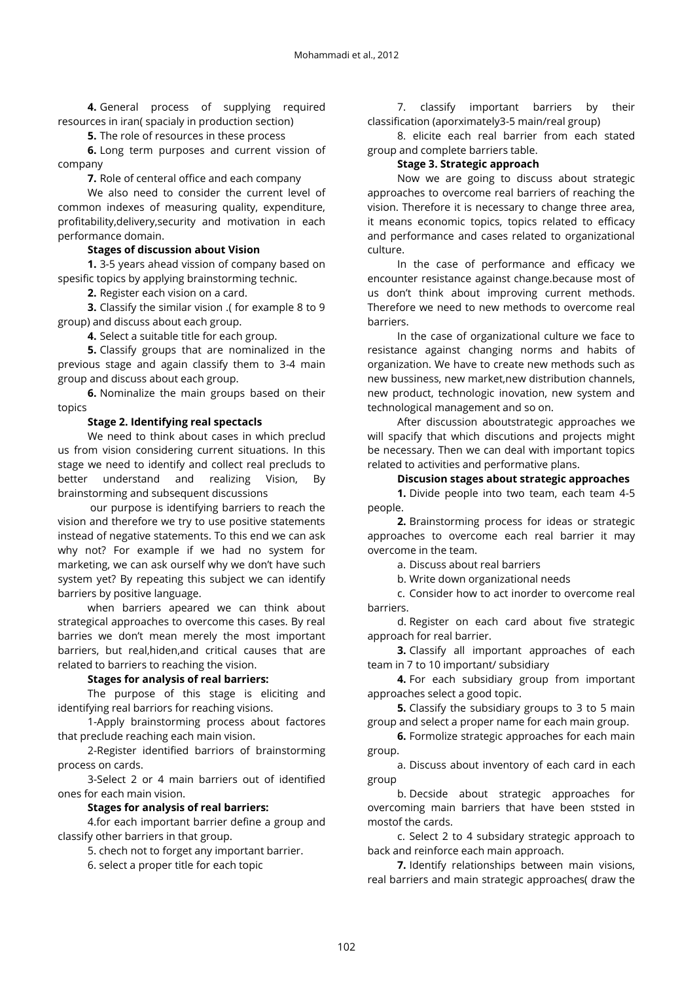**4.** General process of supplying required resources in iran( spacialy in production section)

**5.** The role of resources in these process

**6.** Long term purposes and current vission of company

**7.** Role of centeral office and each company

We also need to consider the current level of common indexes of measuring quality, expenditure, profitability,delivery,security and motivation in each performance domain.

# **Stages of discussion about Vision**

**1.** 3-5 years ahead vission of company based on spesific topics by applying brainstorming technic.

**2.** Register each vision on a card.

**3.** Classify the similar vision .( for example 8 to 9 group) and discuss about each group.

**4.** Select a suitable title for each group.

**5.** Classify groups that are nominalized in the previous stage and again classify them to 3-4 main group and discuss about each group.

**6.** Nominalize the main groups based on their topics

# **Stage 2. Identifying real spectacls**

We need to think about cases in which preclud us from vision considering current situations. In this stage we need to identify and collect real precluds to better understand and realizing Vision, By brainstorming and subsequent discussions

our purpose is identifying barriers to reach the vision and therefore we try to use positive statements instead of negative statements. To this end we can ask why not? For example if we had no system for marketing, we can ask ourself why we don't have such system yet? By repeating this subject we can identify barriers by positive language.

when barriers apeared we can think about strategical approaches to overcome this cases. By real barries we don't mean merely the most important barriers, but real,hiden,and critical causes that are related to barriers to reaching the vision.

# **Stages for analysis of real barriers:**

The purpose of this stage is eliciting and identifying real barriors for reaching visions.

1-Apply brainstorming process about factores that preclude reaching each main vision.

2-Register identified barriors of brainstorming process on cards.

3-Select 2 or 4 main barriers out of identified ones for each main vision.

# **Stages for analysis of real barriers:**

4.for each important barrier define a group and classify other barriers in that group.

5. chech not to forget any important barrier.

6. select a proper title for each topic

7. classify important barriers by their classification (aporximately3-5 main/real group)

8. elicite each real barrier from each stated group and complete barriers table.

# **Stage 3. Strategic approach**

Now we are going to discuss about strategic approaches to overcome real barriers of reaching the vision. Therefore it is necessary to change three area, it means economic topics, topics related to efficacy and performance and cases related to organizational culture.

In the case of performance and efficacy we encounter resistance against change.because most of us don't think about improving current methods. Therefore we need to new methods to overcome real barriers.

In the case of organizational culture we face to resistance against changing norms and habits of organization. We have to create new methods such as new bussiness, new market,new distribution channels, new product, technologic inovation, new system and technological management and so on.

After discussion aboutstrategic approaches we will spacify that which discutions and projects might be necessary. Then we can deal with important topics related to activities and performative plans.

# **Discusion stages about strategic approaches**

**1.** Divide people into two team, each team 4-5 people.

**2.** Brainstorming process for ideas or strategic approaches to overcome each real barrier it may overcome in the team.

a. Discuss about real barriers

b. Write down organizational needs

c. Consider how to act inorder to overcome real barriers.

d. Register on each card about five strategic approach for real barrier.

**3.** Classify all important approaches of each team in 7 to 10 important/ subsidiary

**4.** For each subsidiary group from important approaches select a good topic.

**5.** Classify the subsidiary groups to 3 to 5 main group and select a proper name for each main group.

**6.** Formolize strategic approaches for each main group.

a. Discuss about inventory of each card in each group

b. Decside about strategic approaches for overcoming main barriers that have been ststed in mostof the cards.

c. Select 2 to 4 subsidary strategic approach to back and reinforce each main approach.

**7.** Identify relationships between main visions, real barriers and main strategic approaches( draw the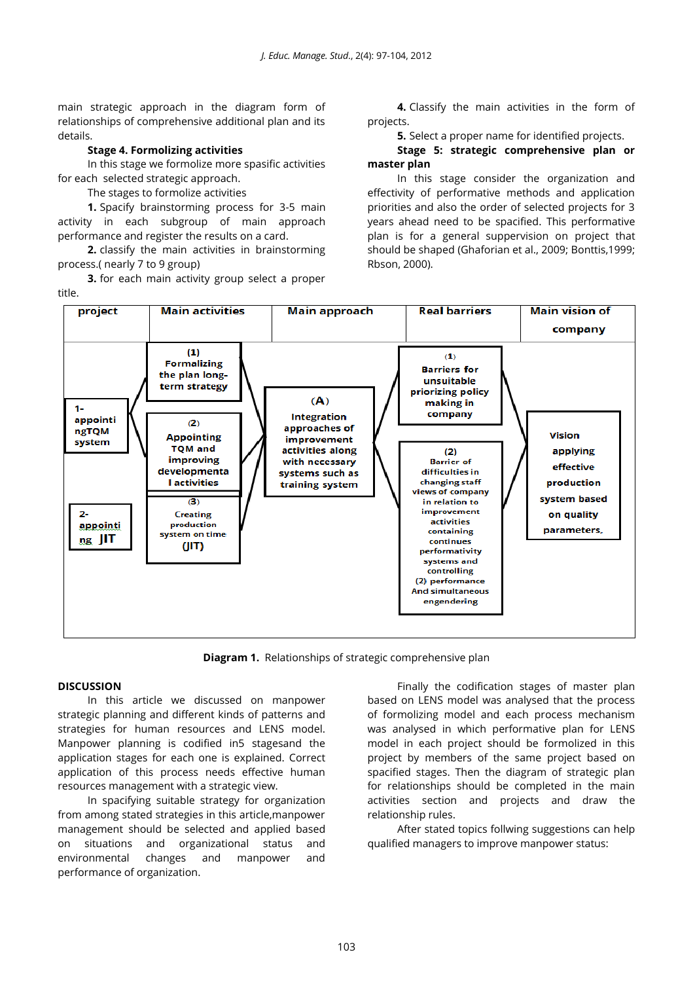main strategic approach in the diagram form of relationships of comprehensive additional plan and its details.

## **Stage 4. Formolizing activities**

In this stage we formolize more spasific activities for each selected strategic approach.

The stages to formolize activities

**1.** Spacify brainstorming process for 3-5 main activity in each subgroup of main approach performance and register the results on a card.

**2.** classify the main activities in brainstorming process.( nearly 7 to 9 group)

**3.** for each main activity group select a proper title.

**4.** Classify the main activities in the form of projects.

**5.** Select a proper name for identified projects.

# **Stage 5: strategic comprehensive plan or master plan**

In this stage consider the organization and effectivity of performative methods and application priorities and also the order of selected projects for 3 years ahead need to be spacified. This performative plan is for a general suppervision on project that should be shaped (Ghaforian et al., 2009; Bonttis,1999; Rbson, 2000).



**Diagram 1.** Relationships of strategic comprehensive plan

## **DISCUSSION**

In this article we discussed on manpower strategic planning and different kinds of patterns and strategies for human resources and LENS model. Manpower planning is codified in5 stagesand the application stages for each one is explained. Correct application of this process needs effective human resources management with a strategic view.

In spacifying suitable strategy for organization from among stated strategies in this article,manpower management should be selected and applied based on situations and organizational status and environmental changes and manpower and performance of organization.

Finally the codification stages of master plan based on LENS model was analysed that the process of formolizing model and each process mechanism was analysed in which performative plan for LENS model in each project should be formolized in this project by members of the same project based on spacified stages. Then the diagram of strategic plan for relationships should be completed in the main activities section and projects and draw the relationship rules.

After stated topics follwing suggestions can help qualified managers to improve manpower status: